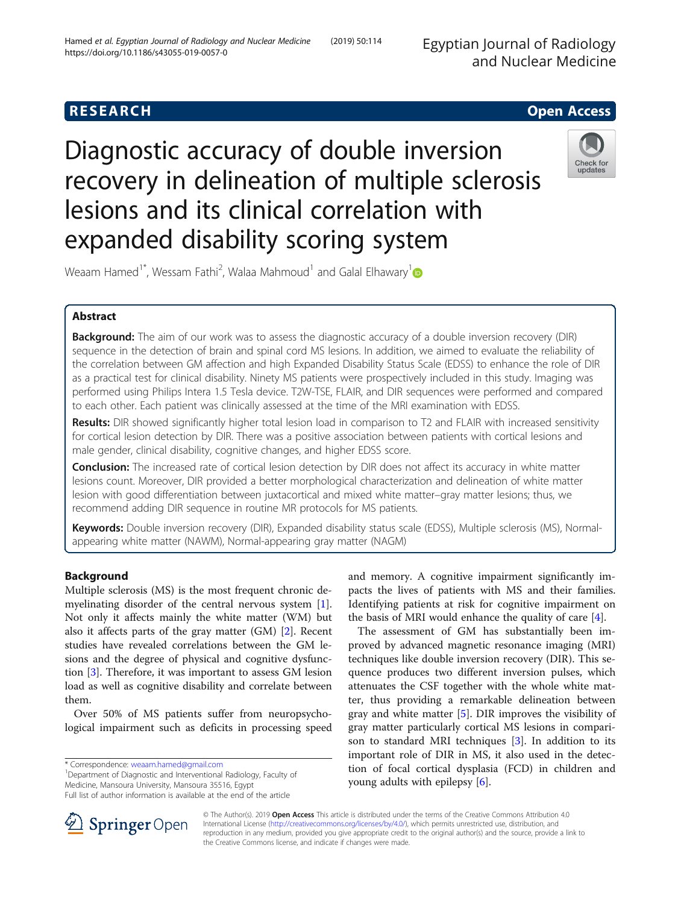Egyptian Journal of Radiology and Nuclear Medicine

## **RESEARCH CHE Open Access**

# Diagnostic accuracy of double inversion recovery in delineation of multiple sclerosis lesions and its clinical correlation with expanded disability scoring system



Weaam Hamed<sup>1\*</sup>, Wessam Fathi<sup>2</sup>, Walaa Mahmoud<sup>1</sup> and Galal Elhawary<sup>1</sup>

## Abstract

Background: The aim of our work was to assess the diagnostic accuracy of a double inversion recovery (DIR) sequence in the detection of brain and spinal cord MS lesions. In addition, we aimed to evaluate the reliability of the correlation between GM affection and high Expanded Disability Status Scale (EDSS) to enhance the role of DIR as a practical test for clinical disability. Ninety MS patients were prospectively included in this study. Imaging was performed using Philips Intera 1.5 Tesla device. T2W-TSE, FLAIR, and DIR sequences were performed and compared to each other. Each patient was clinically assessed at the time of the MRI examination with EDSS.

Results: DIR showed significantly higher total lesion load in comparison to T2 and FLAIR with increased sensitivity for cortical lesion detection by DIR. There was a positive association between patients with cortical lesions and male gender, clinical disability, cognitive changes, and higher EDSS score.

Conclusion: The increased rate of cortical lesion detection by DIR does not affect its accuracy in white matter lesions count. Moreover, DIR provided a better morphological characterization and delineation of white matter lesion with good differentiation between juxtacortical and mixed white matter–gray matter lesions; thus, we recommend adding DIR sequence in routine MR protocols for MS patients.

Keywords: Double inversion recovery (DIR), Expanded disability status scale (EDSS), Multiple sclerosis (MS), Normalappearing white matter (NAWM), Normal-appearing gray matter (NAGM)

## Background

Multiple sclerosis (MS) is the most frequent chronic demyelinating disorder of the central nervous system [\[1](#page-7-0)]. Not only it affects mainly the white matter (WM) but also it affects parts of the gray matter (GM) [[2\]](#page-7-0). Recent studies have revealed correlations between the GM lesions and the degree of physical and cognitive dysfunction [\[3](#page-7-0)]. Therefore, it was important to assess GM lesion load as well as cognitive disability and correlate between them.

Over 50% of MS patients suffer from neuropsychological impairment such as deficits in processing speed

\* Correspondence: [weaam.hamed@gmail.com](mailto:weaam.hamed@gmail.com) <sup>1</sup>

<sup>1</sup>Department of Diagnostic and Interventional Radiology, Faculty of Medicine, Mansoura University, Mansoura 35516, Egypt

and memory. A cognitive impairment significantly impacts the lives of patients with MS and their families. Identifying patients at risk for cognitive impairment on the basis of MRI would enhance the quality of care  $[4]$  $[4]$ .

The assessment of GM has substantially been improved by advanced magnetic resonance imaging (MRI) techniques like double inversion recovery (DIR). This sequence produces two different inversion pulses, which attenuates the CSF together with the whole white matter, thus providing a remarkable delineation between gray and white matter [[5\]](#page-7-0). DIR improves the visibility of gray matter particularly cortical MS lesions in comparison to standard MRI techniques [\[3](#page-7-0)]. In addition to its important role of DIR in MS, it also used in the detection of focal cortical dysplasia (FCD) in children and young adults with epilepsy [\[6](#page-7-0)].



© The Author(s). 2019 Open Access This article is distributed under the terms of the Creative Commons Attribution 4.0 International License ([http://creativecommons.org/licenses/by/4.0/\)](http://creativecommons.org/licenses/by/4.0/), which permits unrestricted use, distribution, and reproduction in any medium, provided you give appropriate credit to the original author(s) and the source, provide a link to the Creative Commons license, and indicate if changes were made.

Full list of author information is available at the end of the article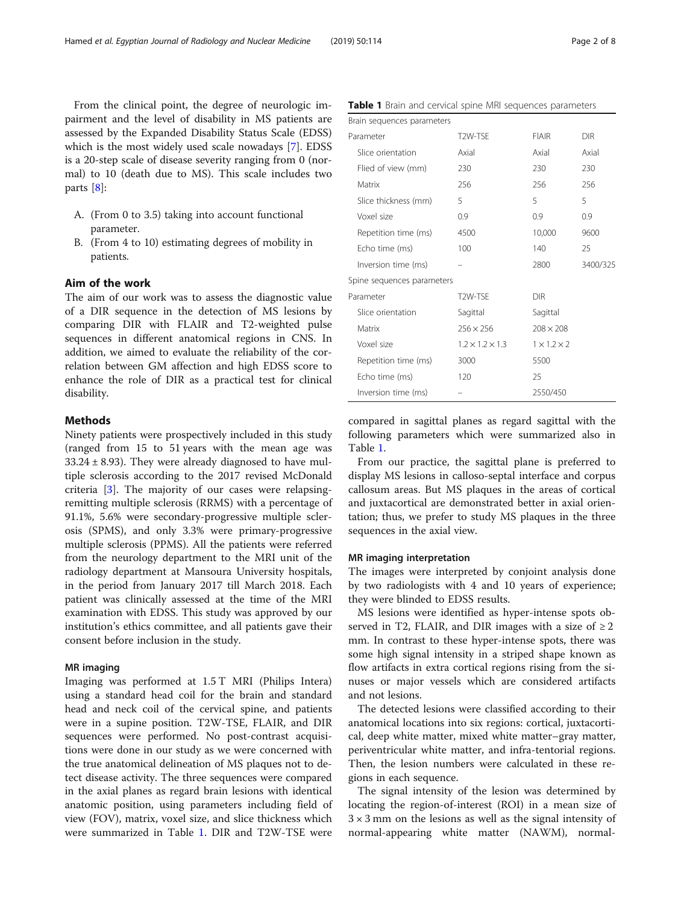From the clinical point, the degree of neurologic impairment and the level of disability in MS patients are assessed by the Expanded Disability Status Scale (EDSS) which is the most widely used scale nowadays [\[7](#page-7-0)]. EDSS is a 20-step scale of disease severity ranging from 0 (normal) to 10 (death due to MS). This scale includes two parts [\[8\]](#page-7-0):

- A. (From 0 to 3.5) taking into account functional parameter.
- B. (From 4 to 10) estimating degrees of mobility in patients.

## Aim of the work

The aim of our work was to assess the diagnostic value of a DIR sequence in the detection of MS lesions by comparing DIR with FLAIR and T2-weighted pulse sequences in different anatomical regions in CNS. In addition, we aimed to evaluate the reliability of the correlation between GM affection and high EDSS score to enhance the role of DIR as a practical test for clinical disability.

## **Methods**

Ninety patients were prospectively included in this study (ranged from 15 to 51 years with the mean age was  $33.24 \pm 8.93$ ). They were already diagnosed to have multiple sclerosis according to the 2017 revised McDonald criteria [[3](#page-7-0)]. The majority of our cases were relapsingremitting multiple sclerosis (RRMS) with a percentage of 91.1%, 5.6% were secondary-progressive multiple sclerosis (SPMS), and only 3.3% were primary-progressive multiple sclerosis (PPMS). All the patients were referred from the neurology department to the MRI unit of the radiology department at Mansoura University hospitals, in the period from January 2017 till March 2018. Each patient was clinically assessed at the time of the MRI examination with EDSS. This study was approved by our institution's ethics committee, and all patients gave their consent before inclusion in the study.

#### MR imaging

Imaging was performed at 1.5 T MRI (Philips Intera) using a standard head coil for the brain and standard head and neck coil of the cervical spine, and patients were in a supine position. T2W-TSE, FLAIR, and DIR sequences were performed. No post-contrast acquisitions were done in our study as we were concerned with the true anatomical delineation of MS plaques not to detect disease activity. The three sequences were compared in the axial planes as regard brain lesions with identical anatomic position, using parameters including field of view (FOV), matrix, voxel size, and slice thickness which were summarized in Table 1. DIR and T2W-TSE were

|  |  |  |  |  |  |  |  |  | <b>Table 1</b> Brain and cervical spine MRI sequences parameters |
|--|--|--|--|--|--|--|--|--|------------------------------------------------------------------|
|--|--|--|--|--|--|--|--|--|------------------------------------------------------------------|

| Brain sequences parameters |                             |                         |            |
|----------------------------|-----------------------------|-------------------------|------------|
| Parameter                  | T2W-TSE                     | <b>FIAIR</b>            | <b>DIR</b> |
| Slice orientation          | Axial                       | Axial                   | Axial      |
| Flied of view (mm)         | 230                         | 230                     | 230        |
| Matrix                     | 256                         | 256                     | 256        |
| Slice thickness (mm)       | 5                           | 5                       | 5          |
| Voxel size                 | 0.9                         | 0.9                     | 0.9        |
| Repetition time (ms)       | 4500                        | 10,000                  | 9600       |
| Echo time (ms)             | 100                         | 140                     | 25         |
| Inversion time (ms)        |                             | 2800                    | 3400/325   |
| Spine sequences parameters |                             |                         |            |
| Parameter                  | T2W-TSF                     | <b>DIR</b>              |            |
| Slice orientation          | Sagittal                    | Sagittal                |            |
| Matrix                     | $256 \times 256$            | $208 \times 208$        |            |
| Voxel size                 | $1.2 \times 1.2 \times 1.3$ | $1 \times 1.2 \times 2$ |            |
| Repetition time (ms)       | 3000                        | 5500                    |            |
| Echo time (ms)             | 120                         | 25                      |            |
| Inversion time (ms)        |                             | 2550/450                |            |

compared in sagittal planes as regard sagittal with the following parameters which were summarized also in Table 1.

From our practice, the sagittal plane is preferred to display MS lesions in calloso-septal interface and corpus callosum areas. But MS plaques in the areas of cortical and juxtacortical are demonstrated better in axial orientation; thus, we prefer to study MS plaques in the three sequences in the axial view.

#### MR imaging interpretation

The images were interpreted by conjoint analysis done by two radiologists with 4 and 10 years of experience; they were blinded to EDSS results.

MS lesions were identified as hyper-intense spots observed in T2, FLAIR, and DIR images with a size of  $\geq 2$ mm. In contrast to these hyper-intense spots, there was some high signal intensity in a striped shape known as flow artifacts in extra cortical regions rising from the sinuses or major vessels which are considered artifacts and not lesions.

The detected lesions were classified according to their anatomical locations into six regions: cortical, juxtacortical, deep white matter, mixed white matter–gray matter, periventricular white matter, and infra-tentorial regions. Then, the lesion numbers were calculated in these regions in each sequence.

The signal intensity of the lesion was determined by locating the region-of-interest (ROI) in a mean size of  $3 \times 3$  mm on the lesions as well as the signal intensity of normal-appearing white matter (NAWM), normal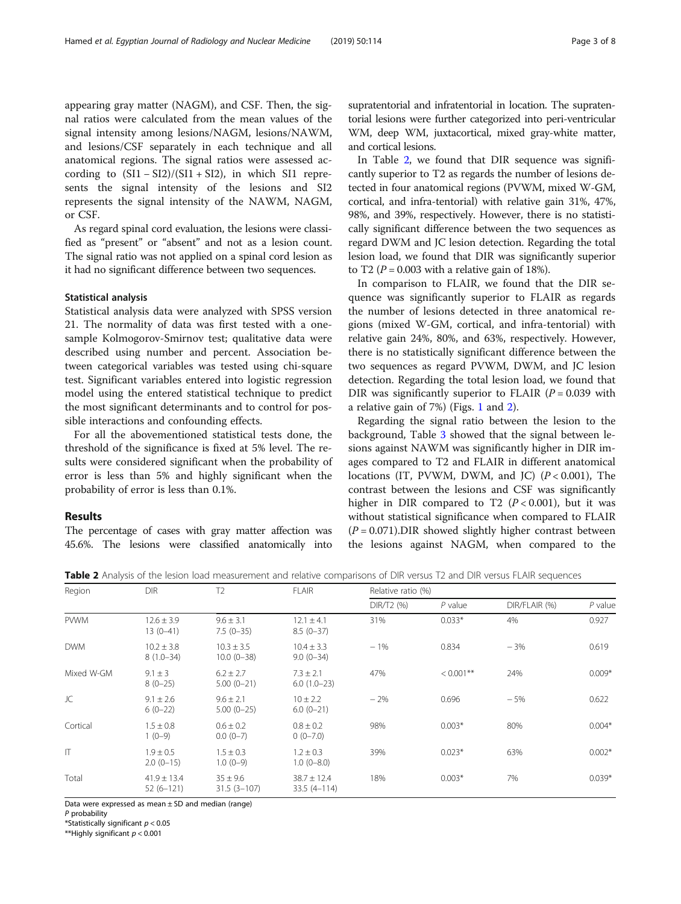appearing gray matter (NAGM), and CSF. Then, the signal ratios were calculated from the mean values of the signal intensity among lesions/NAGM, lesions/NAWM, and lesions/CSF separately in each technique and all anatomical regions. The signal ratios were assessed according to  $(SI1 - SI2)/(SI1 + SI2)$ , in which SI1 represents the signal intensity of the lesions and SI2 represents the signal intensity of the NAWM, NAGM, or CSF.

As regard spinal cord evaluation, the lesions were classified as "present" or "absent" and not as a lesion count. The signal ratio was not applied on a spinal cord lesion as it had no significant difference between two sequences.

### Statistical analysis

Statistical analysis data were analyzed with SPSS version 21. The normality of data was first tested with a onesample Kolmogorov-Smirnov test; qualitative data were described using number and percent. Association between categorical variables was tested using chi-square test. Significant variables entered into logistic regression model using the entered statistical technique to predict the most significant determinants and to control for possible interactions and confounding effects.

For all the abovementioned statistical tests done, the threshold of the significance is fixed at 5% level. The results were considered significant when the probability of error is less than 5% and highly significant when the probability of error is less than 0.1%.

## Results

The percentage of cases with gray matter affection was 45.6%. The lesions were classified anatomically into supratentorial and infratentorial in location. The supratentorial lesions were further categorized into peri-ventricular WM, deep WM, juxtacortical, mixed gray-white matter, and cortical lesions.

In Table 2, we found that DIR sequence was significantly superior to T2 as regards the number of lesions detected in four anatomical regions (PVWM, mixed W-GM, cortical, and infra-tentorial) with relative gain 31%, 47%, 98%, and 39%, respectively. However, there is no statistically significant difference between the two sequences as regard DWM and JC lesion detection. Regarding the total lesion load, we found that DIR was significantly superior to T2 ( $P = 0.003$  with a relative gain of 18%).

In comparison to FLAIR, we found that the DIR sequence was significantly superior to FLAIR as regards the number of lesions detected in three anatomical regions (mixed W-GM, cortical, and infra-tentorial) with relative gain 24%, 80%, and 63%, respectively. However, there is no statistically significant difference between the two sequences as regard PVWM, DWM, and JC lesion detection. Regarding the total lesion load, we found that DIR was significantly superior to FLAIR ( $P = 0.039$  with a relative gain of 7%) (Figs. [1](#page-3-0) and [2\)](#page-3-0).

Regarding the signal ratio between the lesion to the background, Table [3](#page-4-0) showed that the signal between lesions against NAWM was significantly higher in DIR images compared to T2 and FLAIR in different anatomical locations (IT, PVWM, DWM, and JC)  $(P < 0.001)$ , The contrast between the lesions and CSF was significantly higher in DIR compared to T2  $(P < 0.001)$ , but it was without statistical significance when compared to FLAIR  $(P = 0.071)$ . DIR showed slightly higher contrast between the lesions against NAGM, when compared to the

Table 2 Analysis of the lesion load measurement and relative comparisons of DIR versus T2 and DIR versus FLAIR sequences

| Region       | <b>DIR</b>                      | T <sub>2</sub>                    | <b>FLAIR</b>                       |            | Relative ratio (%) |               |           |  |  |
|--------------|---------------------------------|-----------------------------------|------------------------------------|------------|--------------------|---------------|-----------|--|--|
|              |                                 |                                   |                                    | DIR/T2 (%) | $P$ value          | DIR/FLAIR (%) | $P$ value |  |  |
| <b>PVWM</b>  | $12.6 \pm 3.9$<br>13 (0-41)     | $9.6 \pm 3.1$<br>$7.5(0-35)$      | $12.1 \pm 4.1$<br>$8.5(0-37)$      | 31%        | $0.033*$           | 4%            | 0.927     |  |  |
| <b>DWM</b>   | $10.2 \pm 3.8$<br>$8(1.0 - 34)$ | $10.3 \pm 3.5$<br>$10.0 (0 - 38)$ | $10.4 \pm 3.3$<br>$9.0(0-34)$      | $-1%$      | 0.834              | $-3%$         | 0.619     |  |  |
| Mixed W-GM   | $9.1 \pm 3$<br>$8(0-25)$        | $6.2 \pm 2.7$<br>$5.00(0-21)$     | $7.3 \pm 2.1$<br>$6.0(1.0-23)$     | 47%        | $< 0.001$ **       | 24%           | $0.009*$  |  |  |
| JC           | $9.1 \pm 2.6$<br>$6(0-22)$      | $9.6 \pm 2.1$<br>$5.00(0-25)$     | $10 \pm 2.2$<br>$6.0(0-21)$        | $-2%$      | 0.696              | $-5%$         | 0.622     |  |  |
| Cortical     | $1.5 \pm 0.8$<br>$1(0-9)$       | $0.6 \pm 0.2$<br>$0.0(0-7)$       | $0.8 \pm 0.2$<br>$0(0-7.0)$        | 98%        | $0.003*$           | 80%           | $0.004*$  |  |  |
| $\mathsf{I}$ | $1.9 \pm 0.5$<br>$2.0(0-15)$    | $1.5 \pm 0.3$<br>$1.0(0-9)$       | $1.2 \pm 0.3$<br>$1.0(0 - 8.0)$    | 39%        | $0.023*$           | 63%           | $0.002*$  |  |  |
| Total        | $41.9 \pm 13.4$<br>$52(6-121)$  | $35 \pm 9.6$<br>$31.5(3 - 107)$   | $38.7 \pm 12.4$<br>$33.5(4 - 114)$ | 18%        | $0.003*$           | 7%            | $0.039*$  |  |  |

Data were expressed as mean  $\pm$  SD and median (range)

P probability

\*Statistically significant  $p < 0.05$ 

\*\*Highly significant  $p < 0.001$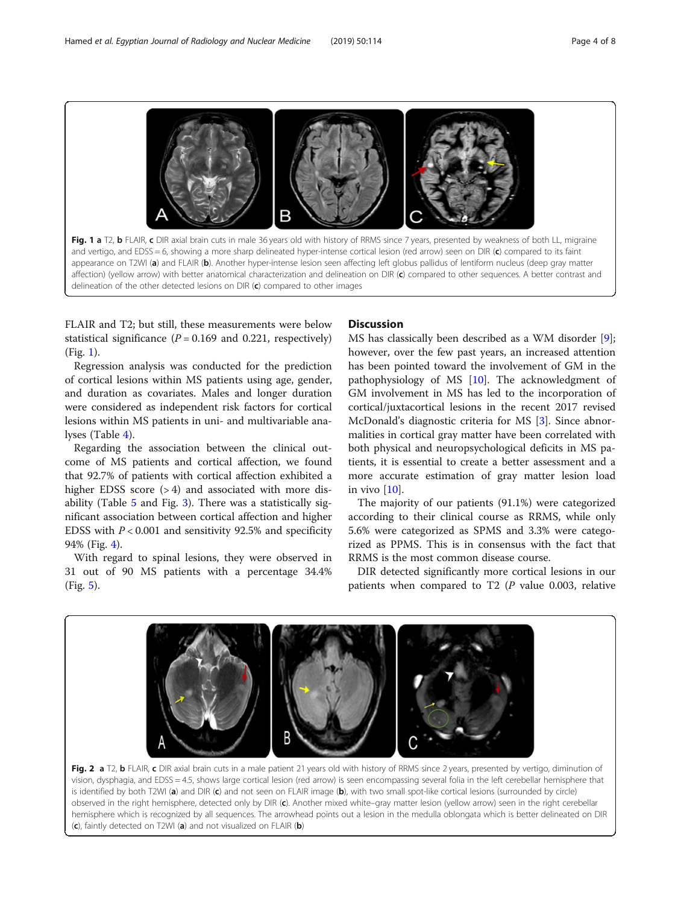<span id="page-3-0"></span>

FLAIR and T2; but still, these measurements were below statistical significance  $(P = 0.169$  and 0.221, respectively) (Fig. 1).

Regression analysis was conducted for the prediction of cortical lesions within MS patients using age, gender, and duration as covariates. Males and longer duration were considered as independent risk factors for cortical lesions within MS patients in uni- and multivariable analyses (Table [4\)](#page-5-0).

Regarding the association between the clinical outcome of MS patients and cortical affection, we found that 92.7% of patients with cortical affection exhibited a higher EDSS score  $(>4)$  and associated with more disability (Table [5](#page-5-0) and Fig. [3](#page-4-0)). There was a statistically significant association between cortical affection and higher EDSS with  $P < 0.001$  and sensitivity 92.5% and specificity 94% (Fig. [4\)](#page-6-0).

With regard to spinal lesions, they were observed in 31 out of 90 MS patients with a percentage 34.4% (Fig. [5](#page-6-0)).

## **Discussion**

MS has classically been described as a WM disorder [\[9](#page-7-0)]; however, over the few past years, an increased attention has been pointed toward the involvement of GM in the pathophysiology of MS [\[10](#page-7-0)]. The acknowledgment of GM involvement in MS has led to the incorporation of cortical/juxtacortical lesions in the recent 2017 revised McDonald's diagnostic criteria for MS [[3\]](#page-7-0). Since abnormalities in cortical gray matter have been correlated with both physical and neuropsychological deficits in MS patients, it is essential to create a better assessment and a more accurate estimation of gray matter lesion load in vivo [\[10](#page-7-0)].

The majority of our patients (91.1%) were categorized according to their clinical course as RRMS, while only 5.6% were categorized as SPMS and 3.3% were categorized as PPMS. This is in consensus with the fact that RRMS is the most common disease course.

DIR detected significantly more cortical lesions in our patients when compared to T2  $(P$  value 0.003, relative



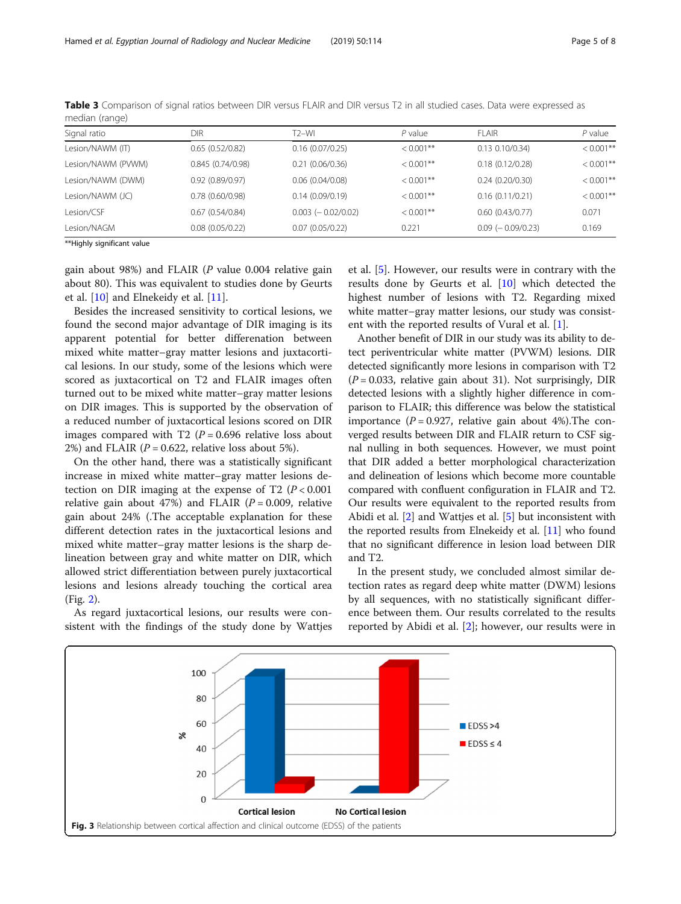| Signal ratio       | DIR                  | T2-WI                    | $P$ value    | FI AIR                  | $P$ value    |
|--------------------|----------------------|--------------------------|--------------|-------------------------|--------------|
| Lesion/NAWM (IT)   | 0.65(0.52/0.82)      | 0.16(0.07/0.25)          | $< 0.001$ ** | $0.13$ $0.10/0.34$ )    | $< 0.001$ ** |
| Lesion/NAWM (PVWM) | 0.845(0.74/0.98)     | 0.21(0.06/0.36)          | $< 0.001**$  | 0.18(0.12/0.28)         | $< 0.001$ ** |
| Lesion/NAWM (DWM)  | 0.92(0.89/0.97)      | $0.06$ $(0.04/0.08)$     | $< 0.001$ ** | 0.24(0.20/0.30)         | $< 0.001$ ** |
| Lesion/NAWM (JC)   | $0.78$ $(0.60/0.98)$ | 0.14(0.09/0.19)          | $< 0.001**$  | 0.16(0.11/0.21)         | $< 0.001$ ** |
| Lesion/CSF         | 0.67(0.54/0.84)      | $0.003$ ( $-0.02/0.02$ ) | $< 0.001**$  | 0.60(0.43/0.77)         | 0.071        |
| Lesion/NAGM        | $0.08$ $(0.05/0.22)$ | 0.07(0.05/0.22)          | 0.221        | $0.09$ ( $-0.09/0.23$ ) | 0.169        |

<span id="page-4-0"></span>Table 3 Comparison of signal ratios between DIR versus FLAIR and DIR versus T2 in all studied cases. Data were expressed as median (range)

\*\*Highly significant value

gain about 98%) and FLAIR (P value 0.004 relative gain about 80). This was equivalent to studies done by Geurts et al. [\[10](#page-7-0)] and Elnekeidy et al. [\[11](#page-7-0)].

Besides the increased sensitivity to cortical lesions, we found the second major advantage of DIR imaging is its apparent potential for better differenation between mixed white matter–gray matter lesions and juxtacortical lesions. In our study, some of the lesions which were scored as juxtacortical on T2 and FLAIR images often turned out to be mixed white matter–gray matter lesions on DIR images. This is supported by the observation of a reduced number of juxtacortical lesions scored on DIR images compared with T2  $(P = 0.696$  relative loss about 2%) and FLAIR ( $P = 0.622$ , relative loss about 5%).

On the other hand, there was a statistically significant increase in mixed white matter–gray matter lesions detection on DIR imaging at the expense of T2 ( $P < 0.001$ ) relative gain about 47%) and FLAIR ( $P = 0.009$ , relative gain about 24% (.The acceptable explanation for these different detection rates in the juxtacortical lesions and mixed white matter–gray matter lesions is the sharp delineation between gray and white matter on DIR, which allowed strict differentiation between purely juxtacortical lesions and lesions already touching the cortical area (Fig. [2](#page-3-0)).

As regard juxtacortical lesions, our results were consistent with the findings of the study done by Wattjes

et al. [[5\]](#page-7-0). However, our results were in contrary with the results done by Geurts et al. [[10\]](#page-7-0) which detected the highest number of lesions with T2. Regarding mixed white matter–gray matter lesions, our study was consistent with the reported results of Vural et al. [\[1\]](#page-7-0).

Another benefit of DIR in our study was its ability to detect periventricular white matter (PVWM) lesions. DIR detected significantly more lesions in comparison with T2  $(P = 0.033$ , relative gain about 31). Not surprisingly, DIR detected lesions with a slightly higher difference in comparison to FLAIR; this difference was below the statistical importance ( $P = 0.927$ , relative gain about 4%). The converged results between DIR and FLAIR return to CSF signal nulling in both sequences. However, we must point that DIR added a better morphological characterization and delineation of lesions which become more countable compared with confluent configuration in FLAIR and T2. Our results were equivalent to the reported results from Abidi et al. [\[2\]](#page-7-0) and Wattjes et al. [[5](#page-7-0)] but inconsistent with the reported results from Elnekeidy et al. [[11](#page-7-0)] who found that no significant difference in lesion load between DIR and T2.

In the present study, we concluded almost similar detection rates as regard deep white matter (DWM) lesions by all sequences, with no statistically significant difference between them. Our results correlated to the results reported by Abidi et al. [[2](#page-7-0)]; however, our results were in

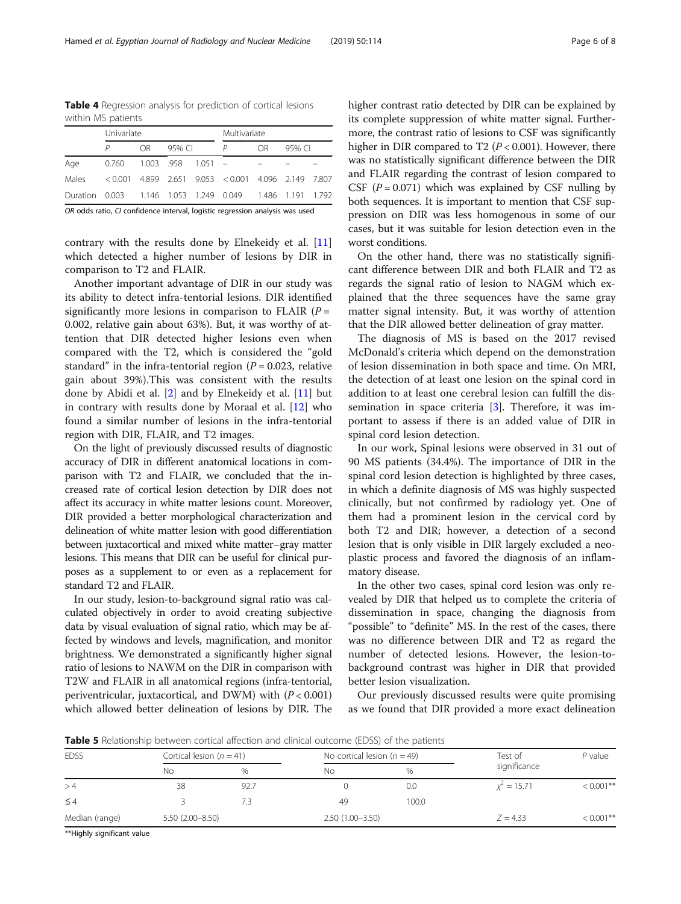<span id="page-5-0"></span>Hamed et al. Egyptian Journal of Radiology and Nuclear Medicine (2019) 50:114 Page 6 of 8

Table 4 Regression analysis for prediction of cortical lesions within MS patients

|                                                                 | Univariate                     | Multivariate |        |  |                                                         |                |        |  |
|-----------------------------------------------------------------|--------------------------------|--------------|--------|--|---------------------------------------------------------|----------------|--------|--|
|                                                                 |                                | OR           | 95% CL |  | Р                                                       | O <sub>R</sub> | 95% CI |  |
| Age                                                             | $0.760$ $1.003$ .958 $1.051$ = |              |        |  |                                                         |                |        |  |
| Males                                                           |                                |              |        |  | $< 0.001$ 4.899 2.651 9.053 $< 0.001$ 4.096 2.149 7.807 |                |        |  |
| Duration 0.003  1.146  1.053  1.249  0.049  1.486  1.191  1.792 |                                |              |        |  |                                                         |                |        |  |

OR odds ratio, CI confidence interval, logistic regression analysis was used

contrary with the results done by Elnekeidy et al. [[11](#page-7-0)] which detected a higher number of lesions by DIR in comparison to T2 and FLAIR.

Another important advantage of DIR in our study was its ability to detect infra-tentorial lesions. DIR identified significantly more lesions in comparison to FLAIR ( $P =$ 0.002, relative gain about 63%). But, it was worthy of attention that DIR detected higher lesions even when compared with the T2, which is considered the "gold standard" in the infra-tentorial region ( $P = 0.023$ , relative gain about 39%).This was consistent with the results done by Abidi et al. [[2\]](#page-7-0) and by Elnekeidy et al. [\[11](#page-7-0)] but in contrary with results done by Moraal et al. [\[12](#page-7-0)] who found a similar number of lesions in the infra-tentorial region with DIR, FLAIR, and T2 images.

On the light of previously discussed results of diagnostic accuracy of DIR in different anatomical locations in comparison with T2 and FLAIR, we concluded that the increased rate of cortical lesion detection by DIR does not affect its accuracy in white matter lesions count. Moreover, DIR provided a better morphological characterization and delineation of white matter lesion with good differentiation between juxtacortical and mixed white matter–gray matter lesions. This means that DIR can be useful for clinical purposes as a supplement to or even as a replacement for standard T2 and FLAIR.

In our study, lesion-to-background signal ratio was calculated objectively in order to avoid creating subjective data by visual evaluation of signal ratio, which may be affected by windows and levels, magnification, and monitor brightness. We demonstrated a significantly higher signal ratio of lesions to NAWM on the DIR in comparison with T2W and FLAIR in all anatomical regions (infra-tentorial, periventricular, juxtacortical, and DWM) with  $(P < 0.001)$ which allowed better delineation of lesions by DIR. The higher contrast ratio detected by DIR can be explained by its complete suppression of white matter signal. Furthermore, the contrast ratio of lesions to CSF was significantly higher in DIR compared to T2 ( $P < 0.001$ ). However, there was no statistically significant difference between the DIR and FLAIR regarding the contrast of lesion compared to CSF ( $P = 0.071$ ) which was explained by CSF nulling by both sequences. It is important to mention that CSF suppression on DIR was less homogenous in some of our cases, but it was suitable for lesion detection even in the worst conditions.

On the other hand, there was no statistically significant difference between DIR and both FLAIR and T2 as regards the signal ratio of lesion to NAGM which explained that the three sequences have the same gray matter signal intensity. But, it was worthy of attention that the DIR allowed better delineation of gray matter.

The diagnosis of MS is based on the 2017 revised McDonald's criteria which depend on the demonstration of lesion dissemination in both space and time. On MRI, the detection of at least one lesion on the spinal cord in addition to at least one cerebral lesion can fulfill the dissemination in space criteria [\[3](#page-7-0)]. Therefore, it was important to assess if there is an added value of DIR in spinal cord lesion detection.

In our work, Spinal lesions were observed in 31 out of 90 MS patients (34.4%). The importance of DIR in the spinal cord lesion detection is highlighted by three cases, in which a definite diagnosis of MS was highly suspected clinically, but not confirmed by radiology yet. One of them had a prominent lesion in the cervical cord by both T2 and DIR; however, a detection of a second lesion that is only visible in DIR largely excluded a neoplastic process and favored the diagnosis of an inflammatory disease.

In the other two cases, spinal cord lesion was only revealed by DIR that helped us to complete the criteria of dissemination in space, changing the diagnosis from "possible" to "definite" MS. In the rest of the cases, there was no difference between DIR and T2 as regard the number of detected lesions. However, the lesion-tobackground contrast was higher in DIR that provided better lesion visualization.

Our previously discussed results were quite promising as we found that DIR provided a more exact delineation

Table 5 Relationship between cortical affection and clinical outcome (EDSS) of the patients

| <b>EDSS</b>    | Cortical lesion ( $n = 41$ ) |      | No cortical lesion ( $n = 49$ ) |       | Test of       | $P$ value    |
|----------------|------------------------------|------|---------------------------------|-------|---------------|--------------|
|                | Nο                           | $\%$ | Nο                              | $\%$  | significance  |              |
| >4             | 38                           | 92.7 |                                 | 0.0   | $x^2 = 15.71$ | $< 0.001$ ** |
| $\leq 4$       |                              |      | 49                              | 100.0 |               |              |
| Median (range) | 5.50 (2.00-8.50)             |      | $2.50(1.00 - 3.50)$             |       | $Z = 4.33$    | $< 0.001$ ** |

\*\*Highly significant value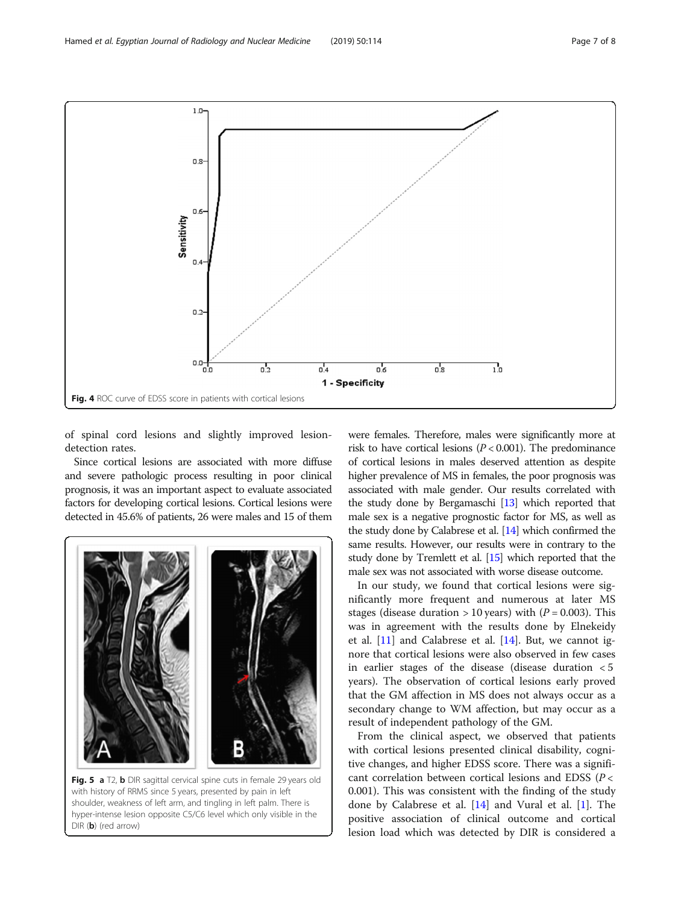of spinal cord lesions and slightly improved lesiondetection rates.

Since cortical lesions are associated with more diffuse and severe pathologic process resulting in poor clinical prognosis, it was an important aspect to evaluate associated factors for developing cortical lesions. Cortical lesions were detected in 45.6% of patients, 26 were males and 15 of them were females. Therefore, males were significantly more at risk to have cortical lesions ( $P < 0.001$ ). The predominance of cortical lesions in males deserved attention as despite higher prevalence of MS in females, the poor prognosis was associated with male gender. Our results correlated with the study done by Bergamaschi [[13](#page-7-0)] which reported that male sex is a negative prognostic factor for MS, as well as the study done by Calabrese et al. [\[14](#page-7-0)] which confirmed the same results. However, our results were in contrary to the study done by Tremlett et al. [\[15](#page-7-0)] which reported that the male sex was not associated with worse disease outcome.

In our study, we found that cortical lesions were significantly more frequent and numerous at later MS stages (disease duration  $> 10$  years) with ( $P = 0.003$ ). This was in agreement with the results done by Elnekeidy et al. [[11\]](#page-7-0) and Calabrese et al. [[14](#page-7-0)]. But, we cannot ignore that cortical lesions were also observed in few cases in earlier stages of the disease (disease duration < 5 years). The observation of cortical lesions early proved that the GM affection in MS does not always occur as a secondary change to WM affection, but may occur as a result of independent pathology of the GM.

From the clinical aspect, we observed that patients with cortical lesions presented clinical disability, cognitive changes, and higher EDSS score. There was a significant correlation between cortical lesions and EDSS (P < 0.001). This was consistent with the finding of the study done by Calabrese et al. [\[14](#page-7-0)] and Vural et al. [[1\]](#page-7-0). The positive association of clinical outcome and cortical lesion load which was detected by DIR is considered a

Fig. 5 a T2, b DIR sagittal cervical spine cuts in female 29 years old with history of RRMS since 5 years, presented by pain in left shoulder, weakness of left arm, and tingling in left palm. There is hyper-intense lesion opposite C5/C6 level which only visible in the DIR (b) (red arrow)

<span id="page-6-0"></span>